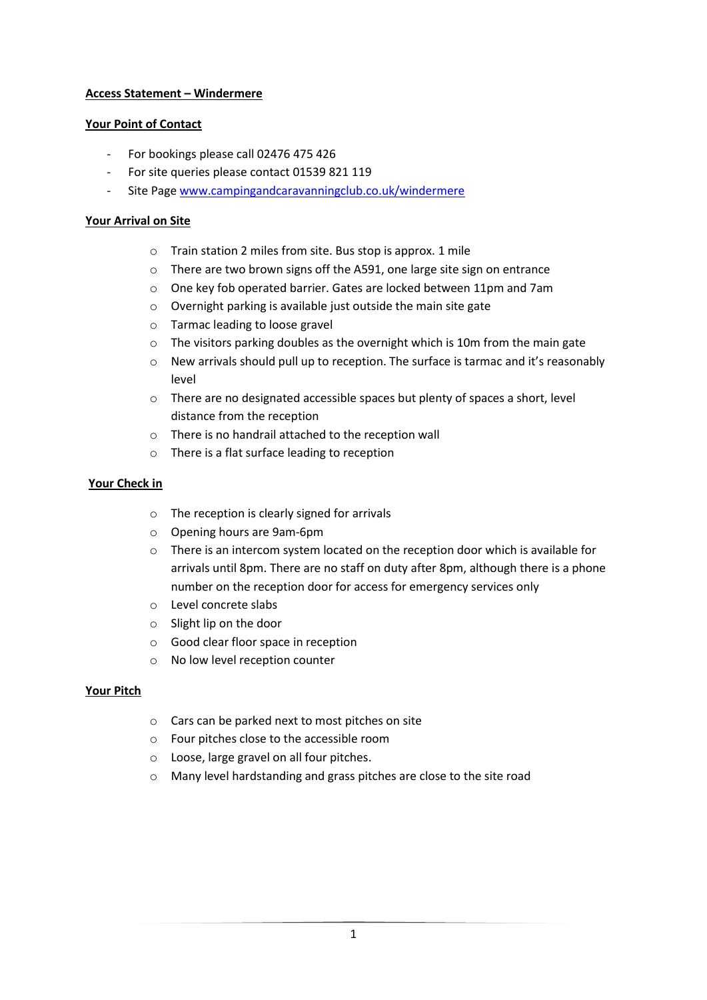# **Access Statement – Windermere**

### **Your Point of Contact**

- For bookings please call 02476 475 426
- For site queries please contact 01539 821 119
- Site Page [www.campingandcaravanningclub.co.uk/windermere](http://www.campingandcaravanningclub.co.uk/windermere)

### **Your Arrival on Site**

- o Train station 2 miles from site. Bus stop is approx. 1 mile
- o There are two brown signs off the A591, one large site sign on entrance
- o One key fob operated barrier. Gates are locked between 11pm and 7am
- o Overnight parking is available just outside the main site gate
- o Tarmac leading to loose gravel
- o The visitors parking doubles as the overnight which is 10m from the main gate
- $\circ$  New arrivals should pull up to reception. The surface is tarmac and it's reasonably level
- o There are no designated accessible spaces but plenty of spaces a short, level distance from the reception
- o There is no handrail attached to the reception wall
- o There is a flat surface leading to reception

# **Your Check in**

- o The reception is clearly signed for arrivals
- o Opening hours are 9am-6pm
- o There is an intercom system located on the reception door which is available for arrivals until 8pm. There are no staff on duty after 8pm, although there is a phone number on the reception door for access for emergency services only
- o Level concrete slabs
- o Slight lip on the door
- o Good clear floor space in reception
- o No low level reception counter

#### **Your Pitch**

- o Cars can be parked next to most pitches on site
- o Four pitches close to the accessible room
- o Loose, large gravel on all four pitches.
- o Many level hardstanding and grass pitches are close to the site road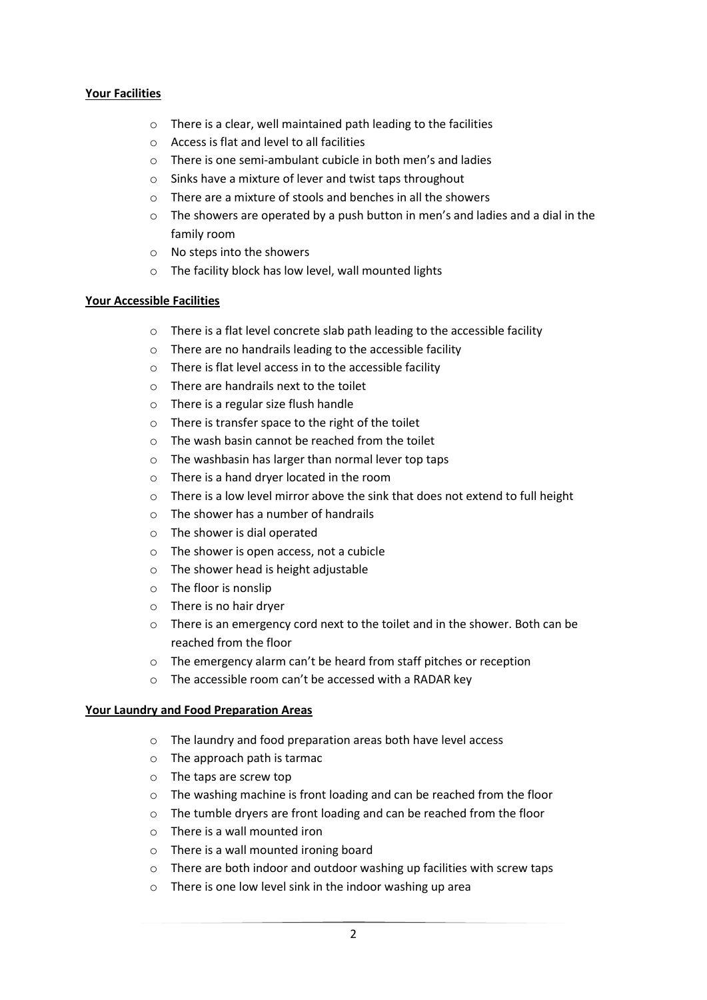### **Your Facilities**

- o There is a clear, well maintained path leading to the facilities
- o Access is flat and level to all facilities
- o There is one semi-ambulant cubicle in both men's and ladies
- o Sinks have a mixture of lever and twist taps throughout
- o There are a mixture of stools and benches in all the showers
- $\circ$  The showers are operated by a push button in men's and ladies and a dial in the family room
- o No steps into the showers
- o The facility block has low level, wall mounted lights

#### **Your Accessible Facilities**

- o There is a flat level concrete slab path leading to the accessible facility
- o There are no handrails leading to the accessible facility
- o There is flat level access in to the accessible facility
- o There are handrails next to the toilet
- o There is a regular size flush handle
- o There is transfer space to the right of the toilet
- o The wash basin cannot be reached from the toilet
- o The washbasin has larger than normal lever top taps
- o There is a hand dryer located in the room
- $\circ$  There is a low level mirror above the sink that does not extend to full height
- $\circ$  The shower has a number of handrails
- o The shower is dial operated
- o The shower is open access, not a cubicle
- o The shower head is height adjustable
- o The floor is nonslip
- o There is no hair dryer
- o There is an emergency cord next to the toilet and in the shower. Both can be reached from the floor
- o The emergency alarm can't be heard from staff pitches or reception
- o The accessible room can't be accessed with a RADAR key

#### **Your Laundry and Food Preparation Areas**

- o The laundry and food preparation areas both have level access
- o The approach path is tarmac
- o The taps are screw top
- o The washing machine is front loading and can be reached from the floor
- o The tumble dryers are front loading and can be reached from the floor
- o There is a wall mounted iron
- o There is a wall mounted ironing board
- o There are both indoor and outdoor washing up facilities with screw taps
- o There is one low level sink in the indoor washing up area